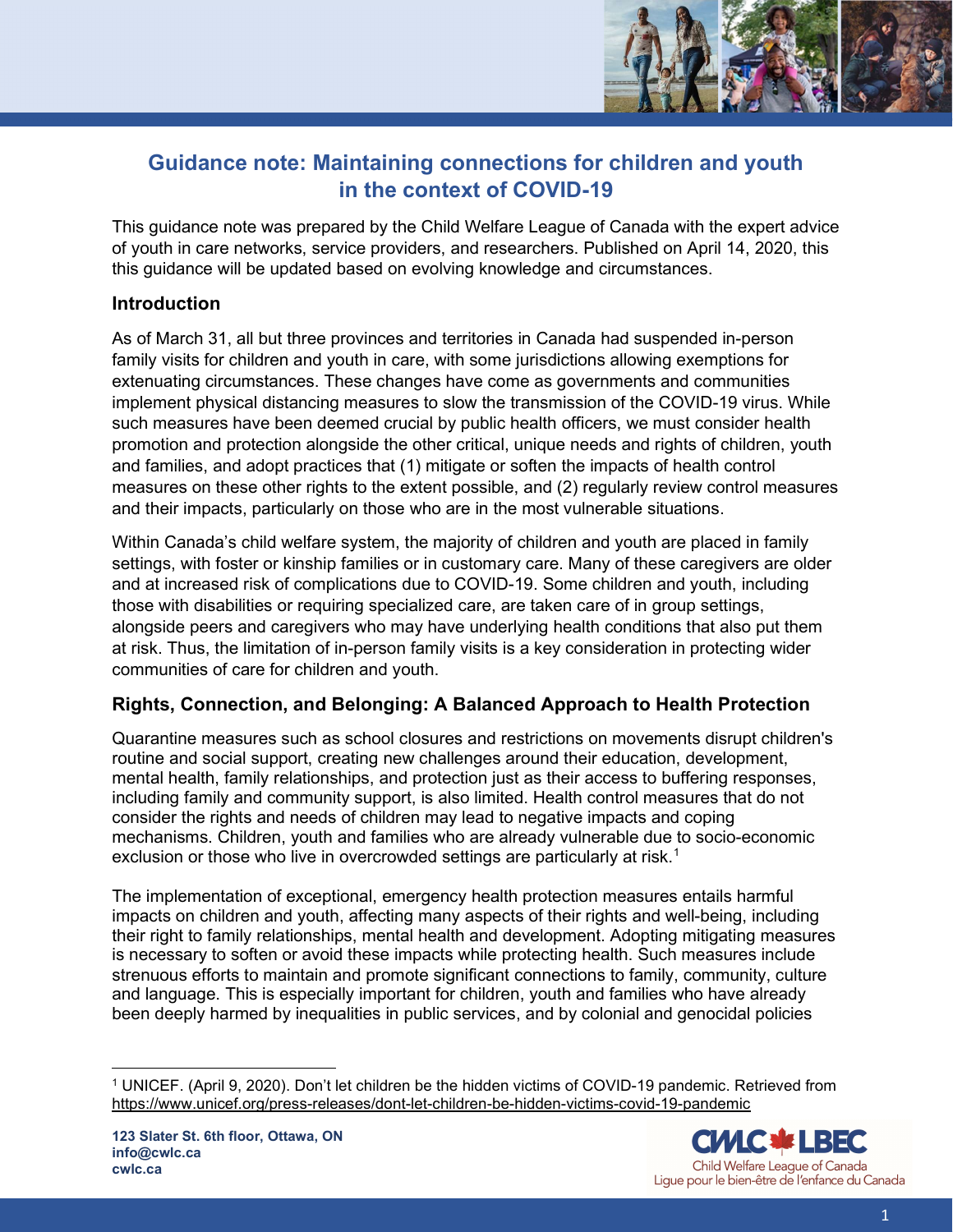

# Guidance note: Maintaining connections for children and youth in the context of COVID-19

This guidance note was prepared by the Child Welfare League of Canada with the expert advice of youth in care networks, service providers, and researchers. Published on April 14, 2020, this this guidance will be updated based on evolving knowledge and circumstances.

# Introduction

As of March 31, all but three provinces and territories in Canada had suspended in-person family visits for children and youth in care, with some jurisdictions allowing exemptions for extenuating circumstances. These changes have come as governments and communities implement physical distancing measures to slow the transmission of the COVID-19 virus. While such measures have been deemed crucial by public health officers, we must consider health promotion and protection alongside the other critical, unique needs and rights of children, youth and families, and adopt practices that (1) mitigate or soften the impacts of health control measures on these other rights to the extent possible, and (2) regularly review control measures and their impacts, particularly on those who are in the most vulnerable situations.

Within Canada's child welfare system, the majority of children and youth are placed in family settings, with foster or kinship families or in customary care. Many of these caregivers are older and at increased risk of complications due to COVID-19. Some children and youth, including those with disabilities or requiring specialized care, are taken care of in group settings, alongside peers and caregivers who may have underlying health conditions that also put them at risk. Thus, the limitation of in-person family visits is a key consideration in protecting wider communities of care for children and youth.

# Rights, Connection, and Belonging: A Balanced Approach to Health Protection

Quarantine measures such as school closures and restrictions on movements disrupt children's routine and social support, creating new challenges around their education, development, mental health, family relationships, and protection just as their access to buffering responses, including family and community support, is also limited. Health control measures that do not consider the rights and needs of children may lead to negative impacts and coping mechanisms. Children, youth and families who are already vulnerable due to socio-economic exclusion or those who live in overcrowded settings are particularly at risk.<sup>1</sup>

The implementation of exceptional, emergency health protection measures entails harmful impacts on children and youth, affecting many aspects of their rights and well-being, including their right to family relationships, mental health and development. Adopting mitigating measures is necessary to soften or avoid these impacts while protecting health. Such measures include strenuous efforts to maintain and promote significant connections to family, community, culture and language. This is especially important for children, youth and families who have already been deeply harmed by inequalities in public services, and by colonial and genocidal policies



<sup>1</sup> UNICEF. (April 9, 2020). Don't let children be the hidden victims of COVID-19 pandemic. Retrieved from https://www.unicef.org/press-releases/dont-let-children-be-hidden-victims-covid-19-pandemic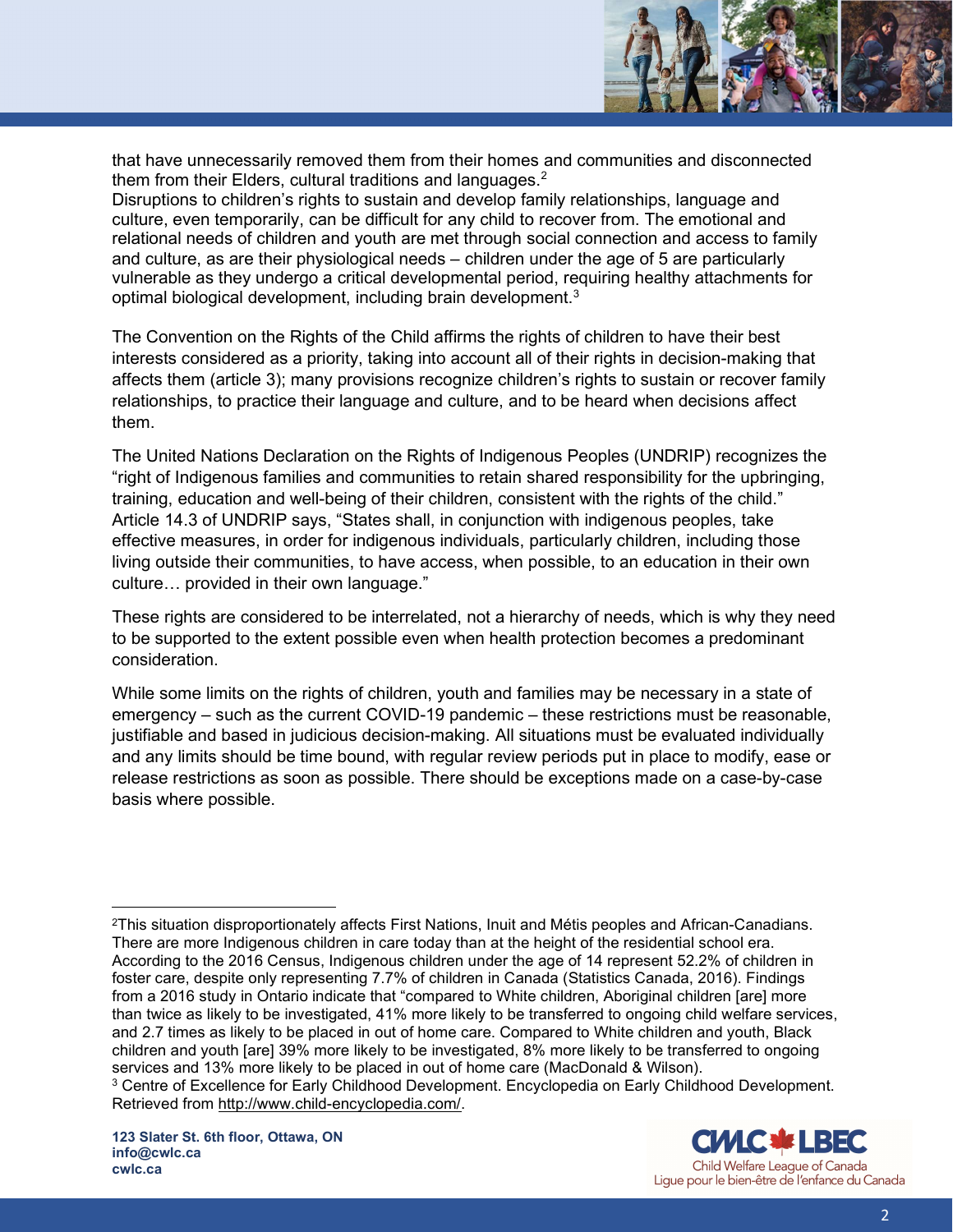

that have unnecessarily removed them from their homes and communities and disconnected them from their Elders, cultural traditions and languages.<sup>2</sup>

Disruptions to children's rights to sustain and develop family relationships, language and culture, even temporarily, can be difficult for any child to recover from. The emotional and relational needs of children and youth are met through social connection and access to family and culture, as are their physiological needs – children under the age of 5 are particularly vulnerable as they undergo a critical developmental period, requiring healthy attachments for optimal biological development, including brain development. $^3$ 

The Convention on the Rights of the Child affirms the rights of children to have their best interests considered as a priority, taking into account all of their rights in decision-making that affects them (article 3); many provisions recognize children's rights to sustain or recover family relationships, to practice their language and culture, and to be heard when decisions affect them.

The United Nations Declaration on the Rights of Indigenous Peoples (UNDRIP) recognizes the "right of Indigenous families and communities to retain shared responsibility for the upbringing, training, education and well-being of their children, consistent with the rights of the child." Article 14.3 of UNDRIP says, "States shall, in conjunction with indigenous peoples, take effective measures, in order for indigenous individuals, particularly children, including those living outside their communities, to have access, when possible, to an education in their own culture… provided in their own language."

These rights are considered to be interrelated, not a hierarchy of needs, which is why they need to be supported to the extent possible even when health protection becomes a predominant consideration.

While some limits on the rights of children, youth and families may be necessary in a state of emergency – such as the current COVID-19 pandemic – these restrictions must be reasonable, justifiable and based in judicious decision-making. All situations must be evaluated individually and any limits should be time bound, with regular review periods put in place to modify, ease or release restrictions as soon as possible. There should be exceptions made on a case-by-case basis where possible.

<sup>2</sup>This situation disproportionately affects First Nations, Inuit and Métis peoples and African-Canadians. There are more Indigenous children in care today than at the height of the residential school era. According to the 2016 Census, Indigenous children under the age of 14 represent 52.2% of children in foster care, despite only representing 7.7% of children in Canada (Statistics Canada, 2016). Findings from a 2016 study in Ontario indicate that "compared to White children, Aboriginal children [are] more than twice as likely to be investigated, 41% more likely to be transferred to ongoing child welfare services, and 2.7 times as likely to be placed in out of home care. Compared to White children and youth, Black children and youth [are] 39% more likely to be investigated, 8% more likely to be transferred to ongoing services and 13% more likely to be placed in out of home care (MacDonald & Wilson).

<sup>&</sup>lt;sup>3</sup> Centre of Excellence for Early Childhood Development. Encyclopedia on Early Childhood Development. Retrieved from http://www.child-encyclopedia.com/.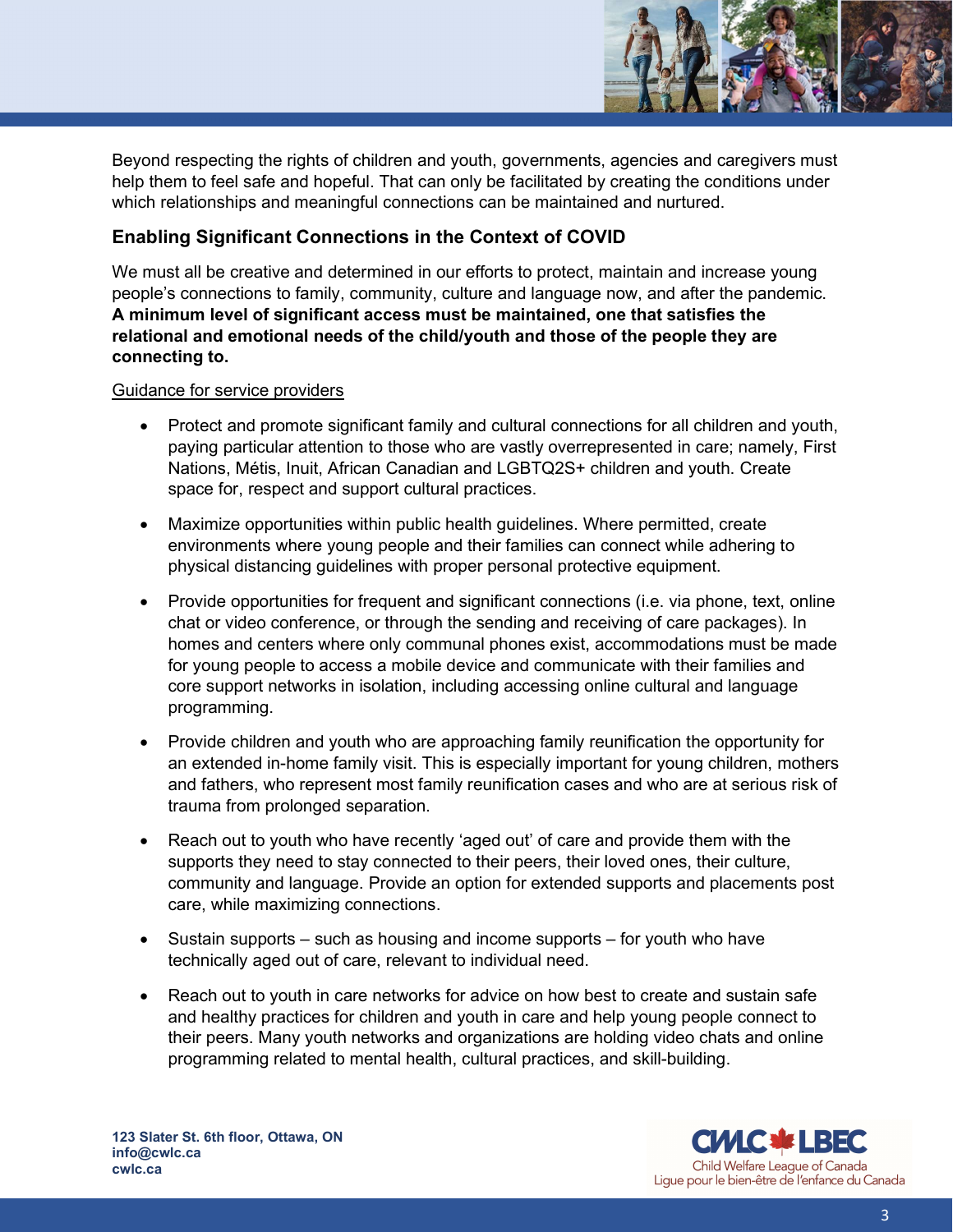

Beyond respecting the rights of children and youth, governments, agencies and caregivers must help them to feel safe and hopeful. That can only be facilitated by creating the conditions under which relationships and meaningful connections can be maintained and nurtured.

# Enabling Significant Connections in the Context of COVID

We must all be creative and determined in our efforts to protect, maintain and increase young people's connections to family, community, culture and language now, and after the pandemic. A minimum level of significant access must be maintained, one that satisfies the relational and emotional needs of the child/youth and those of the people they are connecting to.

### Guidance for service providers

- Protect and promote significant family and cultural connections for all children and youth, paying particular attention to those who are vastly overrepresented in care; namely, First Nations, Métis, Inuit, African Canadian and LGBTQ2S+ children and youth. Create space for, respect and support cultural practices.
- Maximize opportunities within public health guidelines. Where permitted, create environments where young people and their families can connect while adhering to physical distancing guidelines with proper personal protective equipment.
- Provide opportunities for frequent and significant connections (i.e. via phone, text, online chat or video conference, or through the sending and receiving of care packages). In homes and centers where only communal phones exist, accommodations must be made for young people to access a mobile device and communicate with their families and core support networks in isolation, including accessing online cultural and language programming.
- Provide children and youth who are approaching family reunification the opportunity for an extended in-home family visit. This is especially important for young children, mothers and fathers, who represent most family reunification cases and who are at serious risk of trauma from prolonged separation.
- Reach out to youth who have recently 'aged out' of care and provide them with the supports they need to stay connected to their peers, their loved ones, their culture, community and language. Provide an option for extended supports and placements post care, while maximizing connections.
- $\bullet$  Sustain supports such as housing and income supports for youth who have technically aged out of care, relevant to individual need.
- Reach out to youth in care networks for advice on how best to create and sustain safe and healthy practices for children and youth in care and help young people connect to their peers. Many youth networks and organizations are holding video chats and online programming related to mental health, cultural practices, and skill-building.

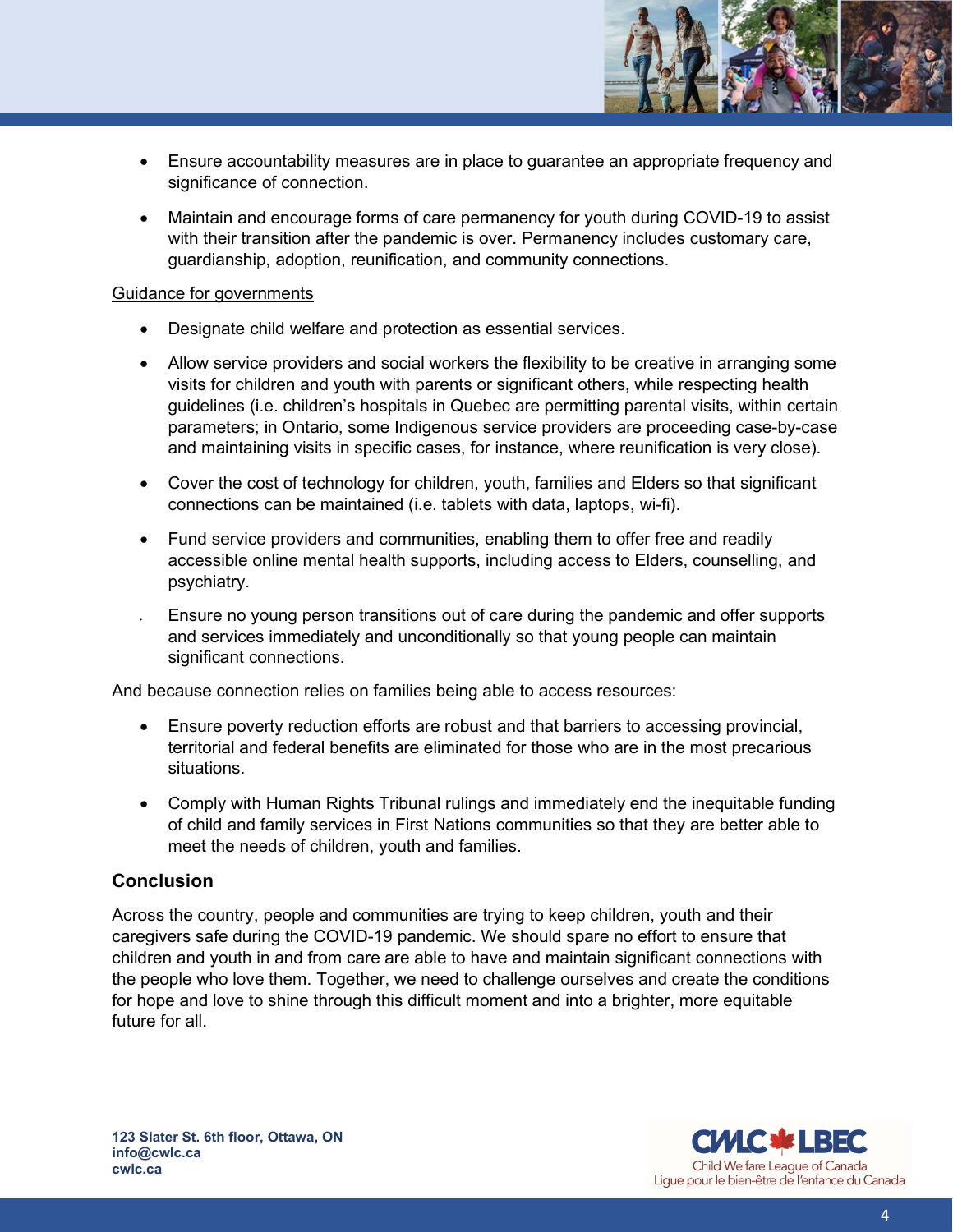- Ensure accountability measures are in place to guarantee an appropriate frequency and significance of connection.
- Maintain and encourage forms of care permanency for youth during COVID-19 to assist with their transition after the pandemic is over. Permanency includes customary care, guardianship, adoption, reunification, and community connections.

### Guidance for governments

- Designate child welfare and protection as essential services.
- Allow service providers and social workers the flexibility to be creative in arranging some visits for children and youth with parents or significant others, while respecting health guidelines (i.e. children's hospitals in Quebec are permitting parental visits, within certain parameters; in Ontario, some Indigenous service providers are proceeding case-by-case and maintaining visits in specific cases, for instance, where reunification is very close).
- Cover the cost of technology for children, youth, families and Elders so that significant connections can be maintained (i.e. tablets with data, laptops, wi-fi).
- Fund service providers and communities, enabling them to offer free and readily accessible online mental health supports, including access to Elders, counselling, and psychiatry.
- Ensure no young person transitions out of care during the pandemic and offer supports and services immediately and unconditionally so that young people can maintain significant connections.

And because connection relies on families being able to access resources:

- Ensure poverty reduction efforts are robust and that barriers to accessing provincial, territorial and federal benefits are eliminated for those who are in the most precarious situations.
- Comply with Human Rights Tribunal rulings and immediately end the inequitable funding of child and family services in First Nations communities so that they are better able to meet the needs of children, youth and families.

# **Conclusion**

Across the country, people and communities are trying to keep children, youth and their caregivers safe during the COVID-19 pandemic. We should spare no effort to ensure that children and youth in and from care are able to have and maintain significant connections with the people who love them. Together, we need to challenge ourselves and create the conditions for hope and love to shine through this difficult moment and into a brighter, more equitable future for all